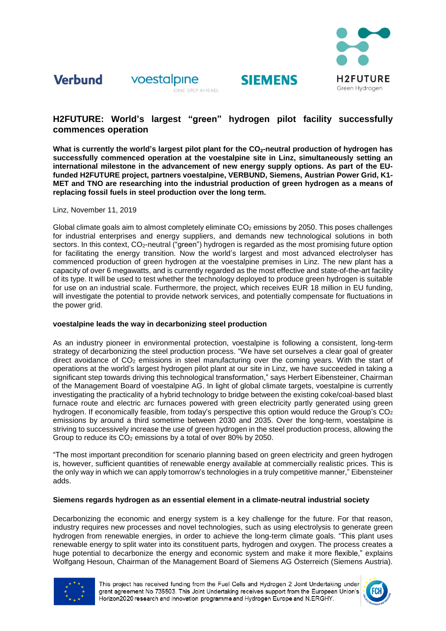

### **Verbund** voestalpine



## **H2FUTURE: World's largest "green" hydrogen pilot facility successfully commences operation**

**SIEMENS** 

**What is currently the world's largest pilot plant for the CO2-neutral production of hydrogen has successfully commenced operation at the voestalpine site in Linz, simultaneously setting an international milestone in the advancement of new energy supply options. As part of the EUfunded H2FUTURE project, partners voestalpine, VERBUND, Siemens, Austrian Power Grid, K1- MET and TNO are researching into the industrial production of green hydrogen as a means of replacing fossil fuels in steel production over the long term.** 

Linz, November 11, 2019

Global climate goals aim to almost completely eliminate  $CO<sub>2</sub>$  emissions by 2050. This poses challenges for industrial enterprises and energy suppliers, and demands new technological solutions in both sectors. In this context, CO<sub>2</sub>-neutral ("green") hydrogen is regarded as the most promising future option for facilitating the energy transition. Now the world's largest and most advanced electrolyser has commenced production of green hydrogen at the voestalpine premises in Linz. The new plant has a capacity of over 6 megawatts, and is currently regarded as the most effective and state-of-the-art facility of its type. It will be used to test whether the technology deployed to produce green hydrogen is suitable for use on an industrial scale. Furthermore, the project, which receives EUR 18 million in EU funding, will investigate the potential to provide network services, and potentially compensate for fluctuations in the power grid.

## **voestalpine leads the way in decarbonizing steel production**

As an industry pioneer in environmental protection, voestalpine is following a consistent, long-term strategy of decarbonizing the steel production process. "We have set ourselves a clear goal of greater direct avoidance of  $CO<sub>2</sub>$  emissions in steel manufacturing over the coming years. With the start of operations at the world's largest hydrogen pilot plant at our site in Linz, we have succeeded in taking a significant step towards driving this technological transformation," says Herbert Eibensteiner, Chairman of the Management Board of voestalpine AG. In light of global climate targets, voestalpine is currently investigating the practicality of a hybrid technology to bridge between the existing coke/coal-based blast furnace route and electric arc furnaces powered with green electricity partly generated using green hydrogen. If economically feasible, from today's perspective this option would reduce the Group's  $CO<sub>2</sub>$ emissions by around a third sometime between 2030 and 2035. Over the long-term, voestalpine is striving to successively increase the use of green hydrogen in the steel production process, allowing the Group to reduce its  $CO<sub>2</sub>$  emissions by a total of over 80% by 2050.

"The most important precondition for scenario planning based on green electricity and green hydrogen is, however, sufficient quantities of renewable energy available at commercially realistic prices. This is the only way in which we can apply tomorrow's technologies in a truly competitive manner," Eibensteiner adds.

## **Siemens regards hydrogen as an essential element in a climate-neutral industrial society**

Decarbonizing the economic and energy system is a key challenge for the future. For that reason, industry requires new processes and novel technologies, such as using electrolysis to generate green hydrogen from renewable energies, in order to achieve the long-term climate goals. "This plant uses renewable energy to split water into its constituent parts, hydrogen and oxygen. The process creates a huge potential to decarbonize the energy and economic system and make it more flexible," explains Wolfgang Hesoun, Chairman of the Management Board of Siemens AG Österreich (Siemens Austria).



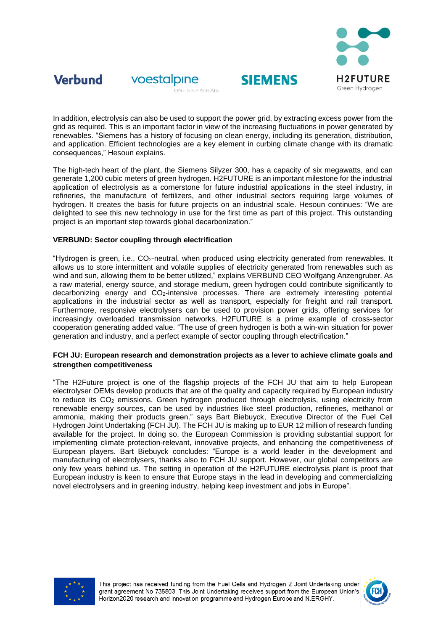



voestalpine ONE STEP AHEAD.

## In addition, electrolysis can also be used to support the power grid, by extracting excess power from the grid as required. This is an important factor in view of the increasing fluctuations in power generated by renewables. "Siemens has a history of focusing on clean energy, including its generation, distribution, and application. Efficient technologies are a key element in curbing climate change with its dramatic consequences," Hesoun explains.

**SIEMENS** 

The high-tech heart of the plant, the Siemens Silyzer 300, has a capacity of six megawatts, and can generate 1,200 cubic meters of green hydrogen. H2FUTURE is an important milestone for the industrial application of electrolysis as a cornerstone for future industrial applications in the steel industry, in refineries, the manufacture of fertilizers, and other industrial sectors requiring large volumes of hydrogen. It creates the basis for future projects on an industrial scale. Hesoun continues: "We are delighted to see this new technology in use for the first time as part of this project. This outstanding project is an important step towards global decarbonization."

## **VERBUND: Sector coupling through electrification**

"Hydrogen is green, i.e., CO2-neutral, when produced using electricity generated from renewables. It allows us to store intermittent and volatile supplies of electricity generated from renewables such as wind and sun, allowing them to be better utilized," explains VERBUND CEO Wolfgang Anzengruber. As a raw material, energy source, and storage medium, green hydrogen could contribute significantly to decarbonizing energy and CO2-intensive processes. There are extremely interesting potential applications in the industrial sector as well as transport, especially for freight and rail transport. Furthermore, responsive electrolysers can be used to provision power grids, offering services for increasingly overloaded transmission networks. H2FUTURE is a prime example of cross-sector cooperation generating added value. "The use of green hydrogen is both a win-win situation for power generation and industry, and a perfect example of sector coupling through electrification."

## **FCH JU: European research and demonstration projects as a lever to achieve climate goals and strengthen competitiveness**

"The H2Future project is one of the flagship projects of the FCH JU that aim to help European electrolyser OEMs develop products that are of the quality and capacity required by European industry to reduce its CO<sub>2</sub> emissions. Green hydrogen produced through electrolysis, using electricity from renewable energy sources, can be used by industries like steel production, refineries, methanol or ammonia, making their products green." says Bart Biebuyck, Executive Director of the Fuel Cell Hydrogen Joint Undertaking (FCH JU). The FCH JU is making up to EUR 12 million of research funding available for the project. In doing so, the European Commission is providing substantial support for implementing climate protection-relevant, innovative projects, and enhancing the competitiveness of European players. Bart Biebuyck concludes: "Europe is a world leader in the development and manufacturing of electrolysers, thanks also to FCH JU support. However, our global competitors are only few years behind us. The setting in operation of the H2FUTURE electrolysis plant is proof that European industry is keen to ensure that Europe stays in the lead in developing and commercializing novel electrolysers and in greening industry, helping keep investment and jobs in Europe".



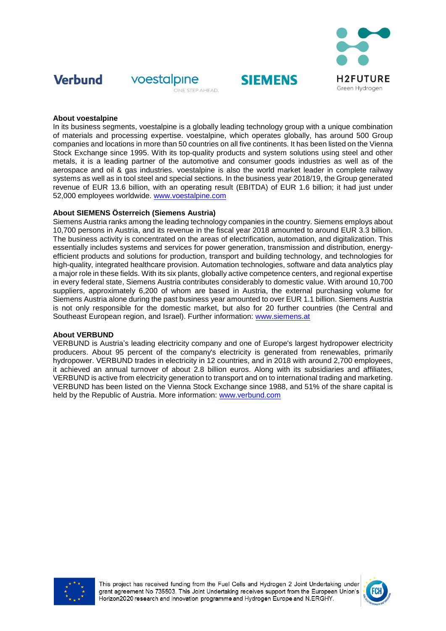

# **Verbund**



## **About voestalpine**

In its business segments, voestalpine is a globally leading technology group with a unique combination of materials and processing expertise. voestalpine, which operates globally, has around 500 Group companies and locations in more than 50 countries on all five continents. It has been listed on the Vienna Stock Exchange since 1995. With its top-quality products and system solutions using steel and other metals, it is a leading partner of the automotive and consumer goods industries as well as of the aerospace and oil & gas industries. voestalpine is also the world market leader in complete railway systems as well as in tool steel and special sections. In the business year 2018/19, the Group generated revenue of EUR 13.6 billion, with an operating result (EBITDA) of EUR 1.6 billion; it had just under 52,000 employees worldwide. [www.voestalpine.com](http://www.voestalpine.com/) 

**SIEMENS** 

## **About SIEMENS Österreich (Siemens Austria)**

Siemens Austria ranks among the leading technology companies in the country. Siemens employs about 10,700 persons in Austria, and its revenue in the fiscal year 2018 amounted to around EUR 3.3 billion. The business activity is concentrated on the areas of electrification, automation, and digitalization. This essentially includes systems and services for power generation, transmission and distribution, energyefficient products and solutions for production, transport and building technology, and technologies for high-quality, integrated healthcare provision. Automation technologies, software and data analytics play a major role in these fields. With its six plants, globally active competence centers, and regional expertise in every federal state, Siemens Austria contributes considerably to domestic value. With around 10,700 suppliers, approximately 6,200 of whom are based in Austria, the external purchasing volume for Siemens Austria alone during the past business year amounted to over EUR 1.1 billion. Siemens Austria is not only responsible for the domestic market, but also for 20 further countries (the Central and Southeast European region, and Israel). Further information: [www.siemens.at](http://www.siemens.at/)

## **About VERBUND**

VERBUND is Austria's leading electricity company and one of Europe's largest hydropower electricity producers. About 95 percent of the company's electricity is generated from renewables, primarily hydropower. VERBUND trades in electricity in 12 countries, and in 2018 with around 2,700 employees, it achieved an annual turnover of about 2.8 billion euros. Along with its subsidiaries and affiliates, VERBUND is active from electricity generation to transport and on to international trading and marketing. VERBUND has been listed on the Vienna Stock Exchange since 1988, and 51% of the share capital is held by the Republic of Austria. More information: [www.verbund.com](http://www.verbund.com/)